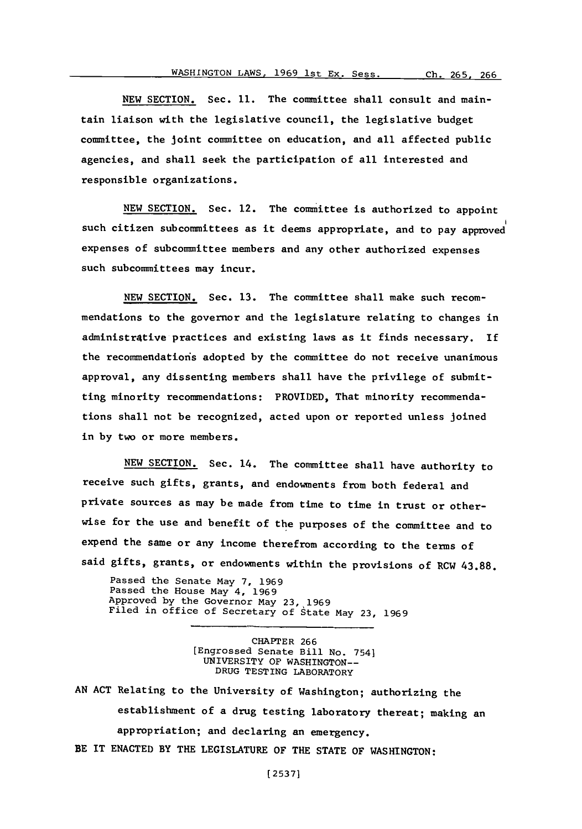**NEW** SECTION. Sec. **11.** The committee shall consult and maintain liaison with the legislative council, the legislative budget committee, the joint committee on education, and all affected public agencies, and shall seek the participation of all interested and responsible organizations.

**NEW SECTION.** Sec. 12. The committee is authorized to appoint such citizen subcommittees as it deems appropriate, and to pay approved expenses of subcommittee members and any other authorized expenses such subcommittees may incur.

**NEW SECTION.** Sec. **13.** The committee shall make such recommendations to the governor and the legislature relating to changes in administr4tive practices and existing laws as it finds necessary. **If** the recommendations adopted **by** the committee do not receive unanimous approval, any dissenting members shall have the privilege of submitting minority recommendations: PROVIDED, That minority recommendations shall not be recognized, acted upon or reported unless joined in **by** two or more members.

**NEW SECTION.** Sec. 14. The committee shall have authority to receive such gifts, grants, and endowments from both federal and private sources as may be made from time to time in trust or otherwise for the use and benefit of the purposes of the committee and to expend the same or any income therefrom according to the terms of said gifts, grants, or endowments within the provisions of RCW **43.88.**

Passed the Senate may **7, 1969** Passed the House may 4, **1969** Approved **by** the Governor May **23,,1969** Filed in office of Secretary of State may **23, 1969**

> CHAPTER 266 [Engrossed Senate Bill No. 7541 UNIVERSITY **OF** WASHINGTON-- **DRUG** TESTING LABORATORY

**AN ACT** Relating to the University of Washington; authorizing the establishment of a drug testing laboratory thereat; making an appropriation; and declaring an emergency. BE IT **ENACTED** BY THE LEGISLATURE OF THE **STATE** OF WASHINGTON: